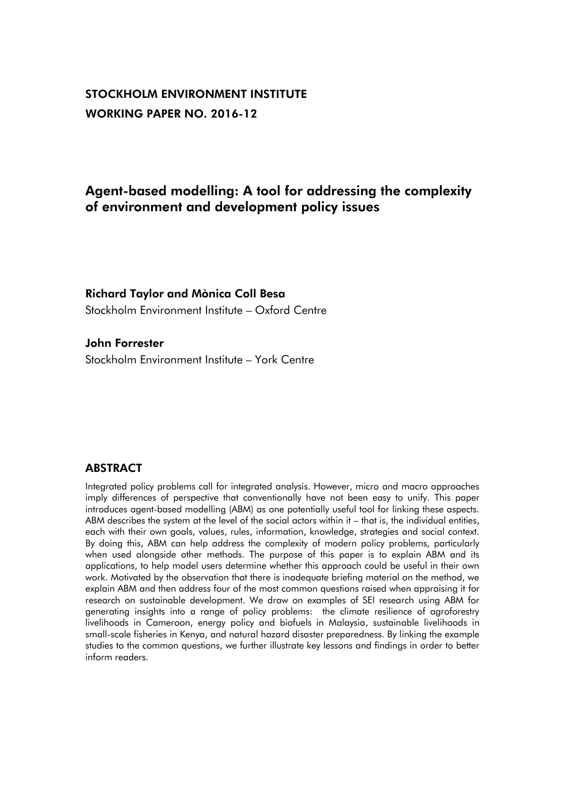# STOCKHOLM ENVIRONMENT INSTITUTE WORKING PAPER NO. 2016-12

# Agent-based modelling: A tool for addressing the complexity of environment and development policy issues

## Richard Taylor and Mònica Coll Besa

Stockholm Environment Institute – Oxford Centre

## John Forrester

Stockholm Environment Institute – York Centre

# **ABSTRACT**

Integrated policy problems call for integrated analysis. However, micro and macro approaches imply differences of perspective that conventionally have not been easy to unify. This paper introduces agent-based modelling (ABM) as one potentially useful tool for linking these aspects. ABM describes the system at the level of the social actors within it – that is, the individual entities, each with their own goals, values, rules, information, knowledge, strategies and social context. By doing this, ABM can help address the complexity of modern policy problems, particularly when used alongside other methods. The purpose of this paper is to explain ABM and its applications, to help model users determine whether this approach could be useful in their own work. Motivated by the observation that there is inadequate briefing material on the method, we explain ABM and then address four of the most common questions raised when appraising it for research on sustainable development. We draw on examples of SEI research using ABM for generating insights into a range of policy problems: the climate resilience of agroforestry livelihoods in Cameroon, energy policy and biofuels in Malaysia, sustainable livelihoods in small-scale fisheries in Kenya, and natural hazard disaster preparedness. By linking the example studies to the common questions, we further illustrate key lessons and findings in order to better inform readers.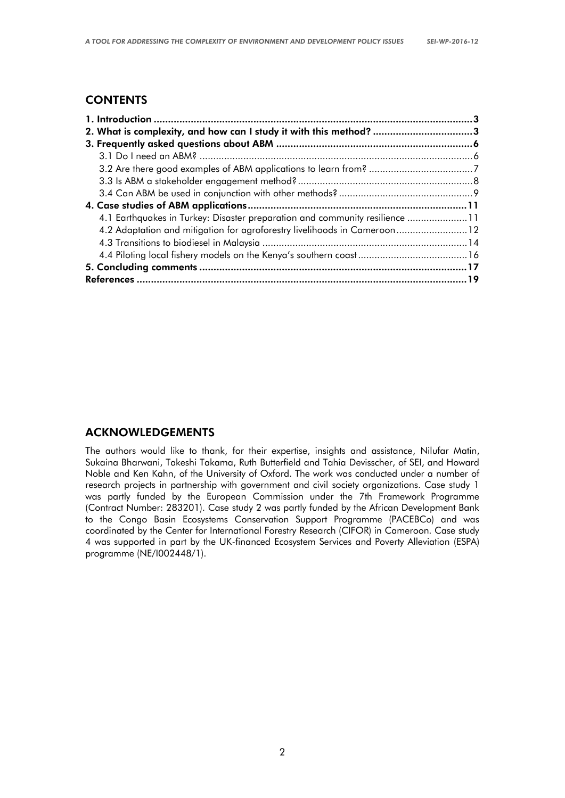# **CONTENTS**

| 2. What is complexity, and how can I study it with this method? 3           |  |
|-----------------------------------------------------------------------------|--|
|                                                                             |  |
|                                                                             |  |
|                                                                             |  |
|                                                                             |  |
|                                                                             |  |
|                                                                             |  |
| 4.1 Earthquakes in Turkey: Disaster preparation and community resilience 11 |  |
| 4.2 Adaptation and mitigation for agroforestry livelihoods in Cameroon12    |  |
|                                                                             |  |
|                                                                             |  |
|                                                                             |  |
|                                                                             |  |

# ACKNOWLEDGEMENTS

The authors would like to thank, for their expertise, insights and assistance, Nilufar Matin, Sukaina Bharwani, Takeshi Takama, Ruth Butterfield and Tahia Devisscher, of SEI, and Howard Noble and Ken Kahn, of the University of Oxford. The work was conducted under a number of research projects in partnership with government and civil society organizations. Case study 1 was partly funded by the European Commission under the 7th Framework Programme (Contract Number: 283201). Case study 2 was partly funded by the African Development Bank to the Congo Basin Ecosystems Conservation Support Programme (PACEBCo) and was coordinated by the Center for International Forestry Research (CIFOR) in Cameroon. Case study 4 was supported in part by the UK-financed Ecosystem Services and Poverty Alleviation (ESPA) programme (NE/I002448/1).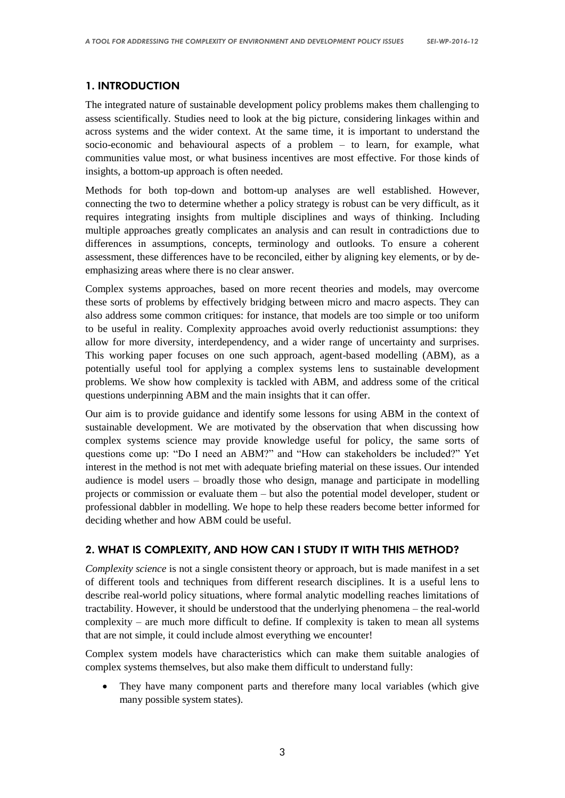## 1. INTRODUCTION

The integrated nature of sustainable development policy problems makes them challenging to assess scientifically. Studies need to look at the big picture, considering linkages within and across systems and the wider context. At the same time, it is important to understand the socio-economic and behavioural aspects of a problem – to learn, for example, what communities value most, or what business incentives are most effective. For those kinds of insights, a bottom-up approach is often needed.

Methods for both top-down and bottom-up analyses are well established. However, connecting the two to determine whether a policy strategy is robust can be very difficult, as it requires integrating insights from multiple disciplines and ways of thinking. Including multiple approaches greatly complicates an analysis and can result in contradictions due to differences in assumptions, concepts, terminology and outlooks. To ensure a coherent assessment, these differences have to be reconciled, either by aligning key elements, or by deemphasizing areas where there is no clear answer.

Complex systems approaches, based on more recent theories and models, may overcome these sorts of problems by effectively bridging between micro and macro aspects. They can also address some common critiques: for instance, that models are too simple or too uniform to be useful in reality. Complexity approaches avoid overly reductionist assumptions: they allow for more diversity, interdependency, and a wider range of uncertainty and surprises. This working paper focuses on one such approach, agent-based modelling (ABM), as a potentially useful tool for applying a complex systems lens to sustainable development problems. We show how complexity is tackled with ABM, and address some of the critical questions underpinning ABM and the main insights that it can offer.

Our aim is to provide guidance and identify some lessons for using ABM in the context of sustainable development. We are motivated by the observation that when discussing how complex systems science may provide knowledge useful for policy, the same sorts of questions come up: "Do I need an ABM?" and "How can stakeholders be included?" Yet interest in the method is not met with adequate briefing material on these issues. Our intended audience is model users – broadly those who design, manage and participate in modelling projects or commission or evaluate them – but also the potential model developer, student or professional dabbler in modelling. We hope to help these readers become better informed for deciding whether and how ABM could be useful.

## 2. WHAT IS COMPLEXITY, AND HOW CAN I STUDY IT WITH THIS METHOD?

*Complexity science* is not a single consistent theory or approach, but is made manifest in a set of different tools and techniques from different research disciplines. It is a useful lens to describe real-world policy situations, where formal analytic modelling reaches limitations of tractability. However, it should be understood that the underlying phenomena – the real-world complexity – are much more difficult to define. If complexity is taken to mean all systems that are not simple, it could include almost everything we encounter!

Complex system models have characteristics which can make them suitable analogies of complex systems themselves, but also make them difficult to understand fully:

 They have many component parts and therefore many local variables (which give many possible system states).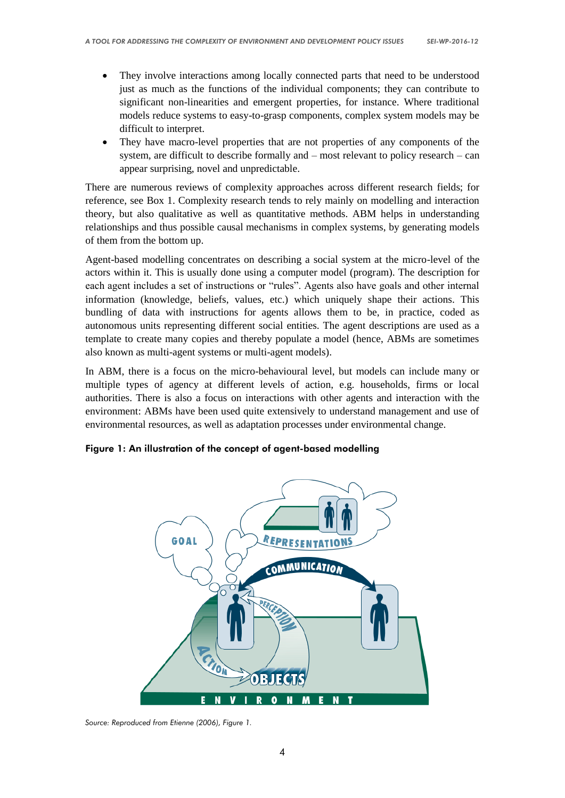- They involve interactions among locally connected parts that need to be understood just as much as the functions of the individual components; they can contribute to significant non-linearities and emergent properties, for instance. Where traditional models reduce systems to easy-to-grasp components, complex system models may be difficult to interpret.
- They have macro-level properties that are not properties of any components of the system, are difficult to describe formally and – most relevant to policy research – can appear surprising, novel and unpredictable.

There are numerous reviews of complexity approaches across different research fields; for reference, see Box 1. Complexity research tends to rely mainly on modelling and interaction theory, but also qualitative as well as quantitative methods. ABM helps in understanding relationships and thus possible causal mechanisms in complex systems, by generating models of them from the bottom up.

Agent-based modelling concentrates on describing a social system at the micro-level of the actors within it. This is usually done using a computer model (program). The description for each agent includes a set of instructions or "rules". Agents also have goals and other internal information (knowledge, beliefs, values, etc.) which uniquely shape their actions. This bundling of data with instructions for agents allows them to be, in practice, coded as autonomous units representing different social entities. The agent descriptions are used as a template to create many copies and thereby populate a model (hence, ABMs are sometimes also known as multi-agent systems or multi-agent models).

In ABM, there is a focus on the micro-behavioural level, but models can include many or multiple types of agency at different levels of action, e.g. households, firms or local authorities. There is also a focus on interactions with other agents and interaction with the environment: ABMs have been used quite extensively to understand management and use of environmental resources, as well as adaptation processes under environmental change.

Figure 1: An illustration of the concept of agent-based modelling



*Source: Reproduced from Etienne (2006), Figure 1.*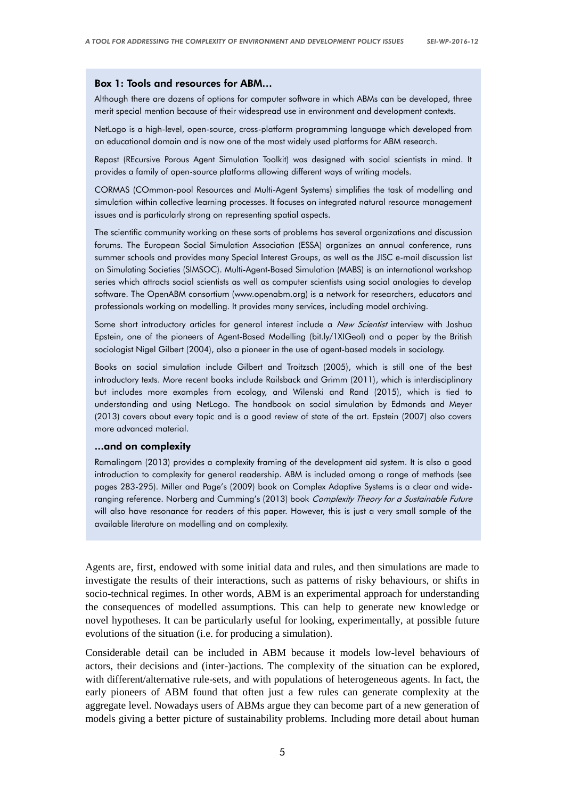#### Box 1: Tools and resources for ABM…

Although there are dozens of options for computer software in which ABMs can be developed, three merit special mention because of their widespread use in environment and development contexts.

NetLogo is a high-level, open-source, cross-platform programming language which developed from an educational domain and is now one of the most widely used platforms for ABM research.

Repast (REcursive Porous Agent Simulation Toolkit) was designed with social scientists in mind. It provides a family of open-source platforms allowing different ways of writing models.

CORMAS (COmmon-pool Resources and Multi-Agent Systems) simplifies the task of modelling and simulation within collective learning processes. It focuses on integrated natural resource management issues and is particularly strong on representing spatial aspects.

The scientific community working on these sorts of problems has several organizations and discussion forums. The European Social Simulation Association (ESSA) organizes an annual conference, runs summer schools and provides many Special Interest Groups, as well as the JISC e-mail discussion list on [Simulating Societies](https://www.jiscmail.ac.uk/cgi-bin/webadmin?A0=simsoc) (SIMSOC). Multi-Agent-Based Simulation (MABS) is an international workshop series which attracts social scientists as well as computer scientists using social analogies to develop software. The OpenABM consortium [\(www.openabm.org\)](http://www.openabm.org/) is a network for researchers, educators and professionals working on modelling. It provides many services, including model archiving.

Some short introductory articles for general interest include a New Scientist interview with Joshua Epstein, one of the pioneers of Agent-Based Modelling (bit.ly/1XIGeol) and a paper by the British sociologist Nigel Gilbert (2004), also a pioneer in the use of agent-based models in sociology.

Books on social simulation include Gilbert and Troitzsch (2005), which is still one of the best introductory texts. More recent books include Railsback and Grimm (2011), which is interdisciplinary but includes more examples from ecology, and Wilenski and Rand (2015), which is tied to understanding and using NetLogo. The handbook on social simulation by Edmonds and Meyer (2013) covers about every topic and is a good review of state of the art. Epstein (2007) also covers more advanced material.

#### ...and on complexity

Ramalingam (2013) provides a complexity framing of the development aid system. It is also a good introduction to complexity for general readership. ABM is included among a range of methods (see pages 283-295). Miller and Page's (2009) book on Complex Adaptive Systems is a clear and wideranging reference. Norberg and Cumming's (2013) book Complexity Theory for a Sustainable Future will also have resonance for readers of this paper. However, this is just a very small sample of the available literature on modelling and on complexity.

Agents are, first, endowed with some initial data and rules, and then simulations are made to investigate the results of their interactions, such as patterns of risky behaviours, or shifts in socio-technical regimes. In other words, ABM is an experimental approach for understanding the consequences of modelled assumptions. This can help to generate new knowledge or novel hypotheses. It can be particularly useful for looking, experimentally, at possible future evolutions of the situation (i.e. for producing a simulation).

Considerable detail can be included in ABM because it models low-level behaviours of actors, their decisions and (inter-)actions. The complexity of the situation can be explored, with different/alternative rule-sets, and with populations of heterogeneous agents. In fact, the early pioneers of ABM found that often just a few rules can generate complexity at the aggregate level. Nowadays users of ABMs argue they can become part of a new generation of models giving a better picture of sustainability problems. Including more detail about human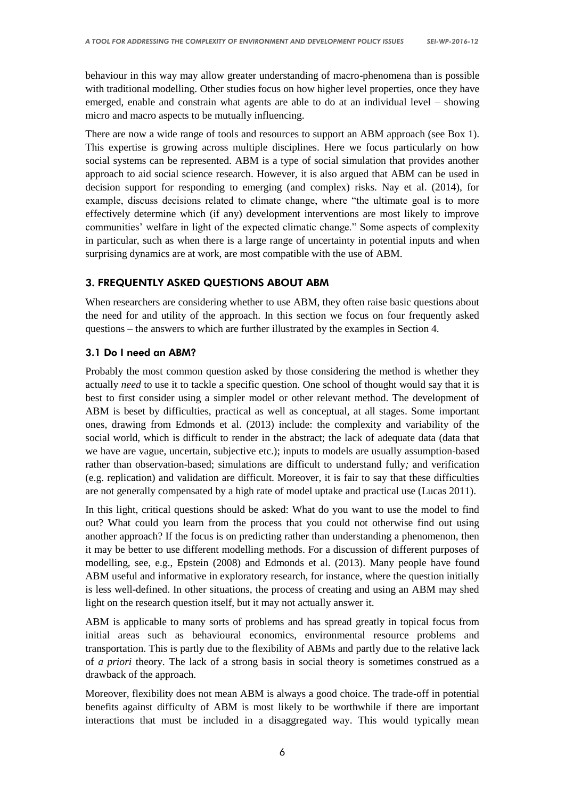behaviour in this way may allow greater understanding of macro-phenomena than is possible with traditional modelling. Other studies focus on how higher level properties, once they have emerged, enable and constrain what agents are able to do at an individual level – showing micro and macro aspects to be mutually influencing.

There are now a wide range of tools and resources to support an ABM approach (see Box 1). This expertise is growing across multiple disciplines. Here we focus particularly on how social systems can be represented. ABM is a type of social simulation that provides another approach to aid social science research. However, it is also argued that ABM can be used in decision support for responding to emerging (and complex) risks. Nay et al. (2014), for example, discuss decisions related to climate change, where "the ultimate goal is to more effectively determine which (if any) development interventions are most likely to improve communities' welfare in light of the expected climatic change." Some aspects of complexity in particular, such as when there is a large range of uncertainty in potential inputs and when surprising dynamics are at work, are most compatible with the use of ABM.

## 3. FREQUENTLY ASKED QUESTIONS ABOUT ABM

When researchers are considering whether to use ABM, they often raise basic questions about the need for and utility of the approach. In this section we focus on four frequently asked questions – the answers to which are further illustrated by the examples in Section 4.

## 3.1 Do I need an ABM?

Probably the most common question asked by those considering the method is whether they actually *need* to use it to tackle a specific question. One school of thought would say that it is best to first consider using a simpler model or other relevant method. The development of ABM is beset by difficulties, practical as well as conceptual, at all stages. Some important ones, drawing from Edmonds et al. (2013) include: the complexity and variability of the social world, which is difficult to render in the abstract; the lack of adequate data (data that we have are vague, uncertain, subjective etc.); inputs to models are usually assumption-based rather than observation-based; simulations are difficult to understand fully*;* and verification (e.g. replication) and validation are difficult. Moreover, it is fair to say that these difficulties are not generally compensated by a high rate of model uptake and practical use (Lucas 2011).

In this light, critical questions should be asked: What do you want to use the model to find out? What could you learn from the process that you could not otherwise find out using another approach? If the focus is on predicting rather than understanding a phenomenon, then it may be better to use different modelling methods. For a discussion of different purposes of modelling, see, e.g., Epstein (2008) and Edmonds et al. (2013). Many people have found ABM useful and informative in exploratory research, for instance, where the question initially is less well-defined. In other situations, the process of creating and using an ABM may shed light on the research question itself, but it may not actually answer it.

ABM is applicable to many sorts of problems and has spread greatly in topical focus from initial areas such as behavioural economics, environmental resource problems and transportation. This is partly due to the flexibility of ABMs and partly due to the relative lack of *a priori* theory. The lack of a strong basis in social theory is sometimes construed as a drawback of the approach.

Moreover, flexibility does not mean ABM is always a good choice. The trade-off in potential benefits against difficulty of ABM is most likely to be worthwhile if there are important interactions that must be included in a disaggregated way. This would typically mean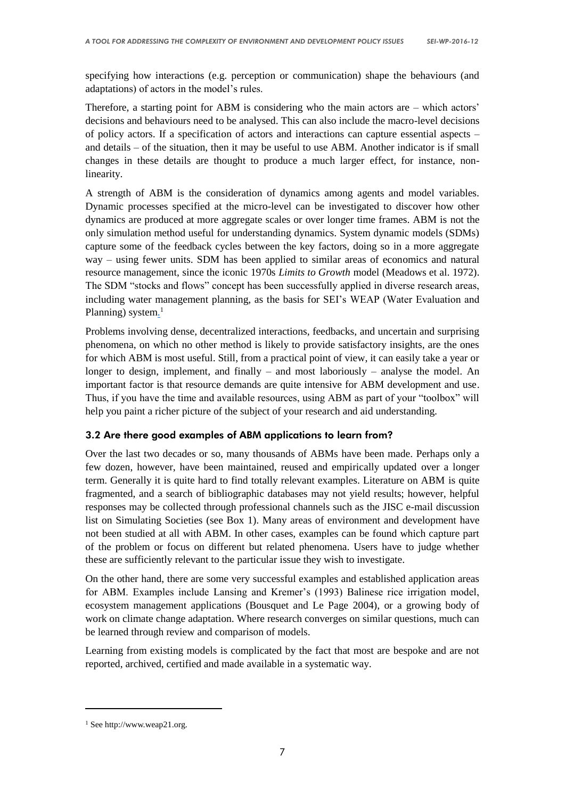specifying how interactions (e.g. perception or communication) shape the behaviours (and adaptations) of actors in the model's rules.

Therefore, a starting point for ABM is considering who the main actors are  $-$  which actors' decisions and behaviours need to be analysed. This can also include the macro-level decisions of policy actors. If a specification of actors and interactions can capture essential aspects – and details – of the situation, then it may be useful to use ABM. Another indicator is if small changes in these details are thought to produce a much larger effect, for instance, nonlinearity.

A strength of ABM is the consideration of dynamics among agents and model variables. Dynamic processes specified at the micro-level can be investigated to discover how other dynamics are produced at more aggregate scales or over longer time frames. ABM is not the only simulation method useful for understanding dynamics. System dynamic models (SDMs) capture some of the feedback cycles between the key factors, doing so in a more aggregate way – using fewer units. SDM has been applied to similar areas of economics and natural resource management, since the iconic 1970s *Limits to Growth* model (Meadows et al. 1972). The SDM "stocks and flows" concept has been successfully applied in diverse research areas, including water management planning, as the basis for SEI's WEAP (Water Evaluation and Planning) system.<sup>1</sup>

Problems involving dense, decentralized interactions, feedbacks, and uncertain and surprising phenomena, on which no other method is likely to provide satisfactory insights, are the ones for which ABM is most useful. Still, from a practical point of view, it can easily take a year or longer to design, implement, and finally – and most laboriously – analyse the model. An important factor is that resource demands are quite intensive for ABM development and use. Thus, if you have the time and available resources, using ABM as part of your "toolbox" will help you paint a richer picture of the subject of your research and aid understanding.

## 3.2 Are there good examples of ABM applications to learn from?

Over the last two decades or so, many thousands of ABMs have been made. Perhaps only a few dozen, however, have been maintained, reused and empirically updated over a longer term. Generally it is quite hard to find totally relevant examples. Literature on ABM is quite fragmented, and a search of bibliographic databases may not yield results; however, helpful responses may be collected through professional channels such as the JISC e-mail discussion list on Simulating Societies (see Box 1). Many areas of environment and development have not been studied at all with ABM. In other cases, examples can be found which capture part of the problem or focus on different but related phenomena. Users have to judge whether these are sufficiently relevant to the particular issue they wish to investigate.

On the other hand, there are some very successful examples and established application areas for ABM. Examples include Lansing and Kremer's (1993) Balinese rice irrigation model, ecosystem management applications (Bousquet and Le Page 2004), or a growing body of work on climate change adaptation. Where research converges on similar questions, much can be learned through review and comparison of models.

Learning from existing models is complicated by the fact that most are bespoke and are not reported, archived, certified and made available in a systematic way.

-

<sup>&</sup>lt;sup>1</sup> See http://www.weap21.org.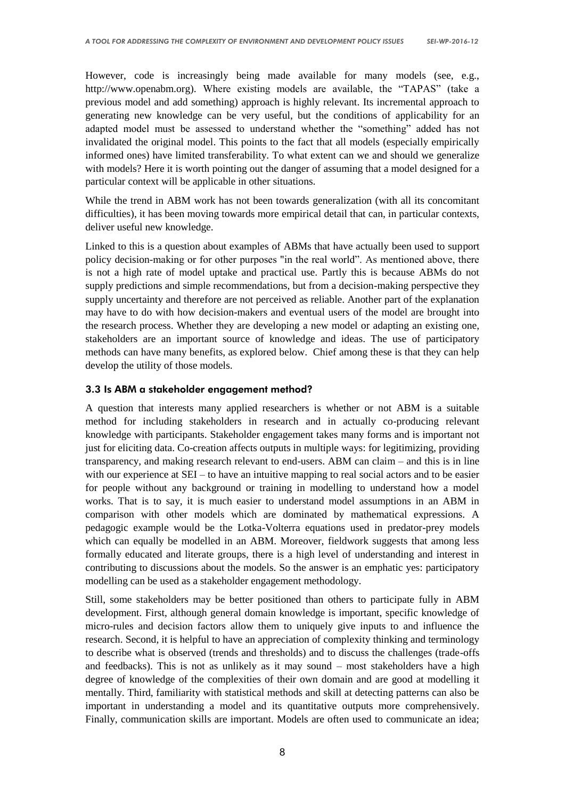However, code is increasingly being made available for many models (see, e.g., http://www.openabm.org). Where existing models are available, the "TAPAS" (take a previous model and add something) approach is highly relevant. Its incremental approach to generating new knowledge can be very useful, but the conditions of applicability for an adapted model must be assessed to understand whether the "something" added has not invalidated the original model. This points to the fact that all models (especially empirically informed ones) have limited transferability. To what extent can we and should we generalize with models? Here it is worth pointing out the danger of assuming that a model designed for a particular context will be applicable in other situations.

While the trend in ABM work has not been towards generalization (with all its concomitant difficulties), it has been moving towards more empirical detail that can, in particular contexts, deliver useful new knowledge.

Linked to this is a question about examples of ABMs that have actually been used to support policy decision-making or for other purposes "in the real world". As mentioned above, there is not a high rate of model uptake and practical use. Partly this is because ABMs do not supply predictions and simple recommendations, but from a decision-making perspective they supply uncertainty and therefore are not perceived as reliable. Another part of the explanation may have to do with how decision-makers and eventual users of the model are brought into the research process. Whether they are developing a new model or adapting an existing one, stakeholders are an important source of knowledge and ideas. The use of participatory methods can have many benefits, as explored below. Chief among these is that they can help develop the utility of those models.

#### 3.3 Is ABM a stakeholder engagement method?

A question that interests many applied researchers is whether or not ABM is a suitable method for including stakeholders in research and in actually co-producing relevant knowledge with participants. Stakeholder engagement takes many forms and is important not just for eliciting data. Co-creation affects outputs in multiple ways: for legitimizing, providing transparency, and making research relevant to end-users. ABM can claim – and this is in line with our experience at SEI – to have an intuitive mapping to real social actors and to be easier for people without any background or training in modelling to understand how a model works. That is to say, it is much easier to understand model assumptions in an ABM in comparison with other models which are dominated by mathematical expressions. A pedagogic example would be the Lotka-Volterra equations used in predator-prey models which can equally be modelled in an ABM. Moreover, fieldwork suggests that among less formally educated and literate groups, there is a high level of understanding and interest in contributing to discussions about the models. So the answer is an emphatic yes: participatory modelling can be used as a stakeholder engagement methodology.

Still, some stakeholders may be better positioned than others to participate fully in ABM development. First, although general domain knowledge is important, specific knowledge of micro-rules and decision factors allow them to uniquely give inputs to and influence the research. Second, it is helpful to have an appreciation of complexity thinking and terminology to describe what is observed (trends and thresholds) and to discuss the challenges (trade-offs and feedbacks). This is not as unlikely as it may sound – most stakeholders have a high degree of knowledge of the complexities of their own domain and are good at modelling it mentally. Third, familiarity with statistical methods and skill at detecting patterns can also be important in understanding a model and its quantitative outputs more comprehensively. Finally, communication skills are important. Models are often used to communicate an idea;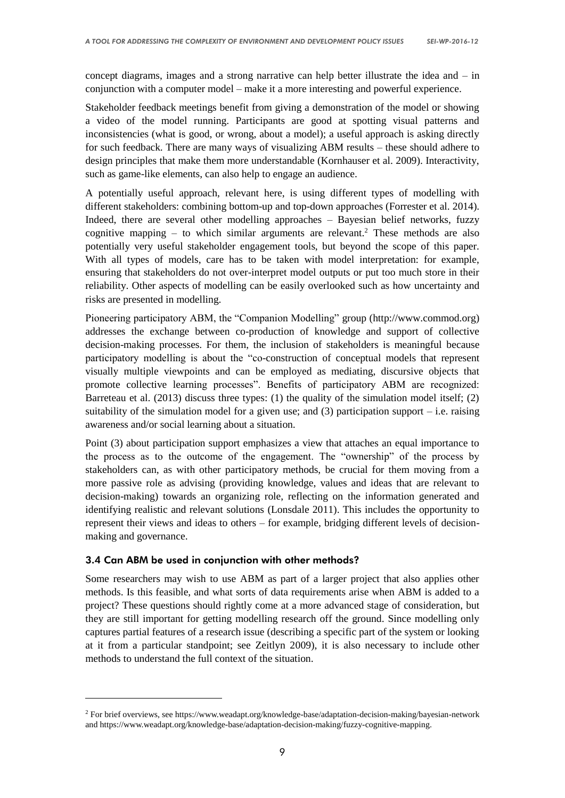concept diagrams, images and a strong narrative can help better illustrate the idea and – in conjunction with a computer model – make it a more interesting and powerful experience.

Stakeholder feedback meetings benefit from giving a demonstration of the model or showing a video of the model running. Participants are good at spotting visual patterns and inconsistencies (what is good, or wrong, about a model); a useful approach is asking directly for such feedback. There are many ways of visualizing ABM results – these should adhere to design principles that make them more understandable (Kornhauser et al. 2009). Interactivity, such as game-like elements, can also help to engage an audience.

A potentially useful approach, relevant here, is using different types of modelling with different stakeholders: combining bottom-up and top-down approaches (Forrester et al. 2014). Indeed, there are several other modelling approaches – Bayesian belief networks, fuzzy cognitive mapping – to which similar arguments are relevant.<sup>2</sup> These methods are also potentially very useful stakeholder engagement tools, but beyond the scope of this paper. With all types of models, care has to be taken with model interpretation: for example, ensuring that stakeholders do not over-interpret model outputs or put too much store in their reliability. Other aspects of modelling can be easily overlooked such as how uncertainty and risks are presented in modelling.

Pioneering participatory ABM, the "Companion Modelling" group (http://www.commod.org) addresses the exchange between co-production of knowledge and support of collective decision-making processes. For them, the inclusion of stakeholders is meaningful because participatory modelling is about the "co-construction of conceptual models that represent visually multiple viewpoints and can be employed as mediating, discursive objects that promote collective learning processes". Benefits of participatory ABM are recognized: Barreteau et al. (2013) discuss three types: (1) the quality of the simulation model itself; (2) suitability of the simulation model for a given use; and (3) participation support – i.e. raising awareness and/or social learning about a situation.

Point (3) about participation support emphasizes a view that attaches an equal importance to the process as to the outcome of the engagement. The "ownership" of the process by stakeholders can, as with other participatory methods, be crucial for them moving from a more passive role as advising (providing knowledge, values and ideas that are relevant to decision-making) towards an organizing role, reflecting on the information generated and identifying realistic and relevant solutions (Lonsdale 2011). This includes the opportunity to represent their views and ideas to others – for example, bridging different levels of decisionmaking and governance.

#### 3.4 Can ABM be used in conjunction with other methods?

-

Some researchers may wish to use ABM as part of a larger project that also applies other methods. Is this feasible, and what sorts of data requirements arise when ABM is added to a project? These questions should rightly come at a more advanced stage of consideration, but they are still important for getting modelling research off the ground. Since modelling only captures partial features of a research issue (describing a specific part of the system or looking at it from a particular standpoint; see Zeitlyn 2009), it is also necessary to include other methods to understand the full context of the situation.

<sup>2</sup> For brief overviews, see https://www.weadapt.org/knowledge-base/adaptation-decision-making/bayesian-network and https://www.weadapt.org/knowledge-base/adaptation-decision-making/fuzzy-cognitive-mapping.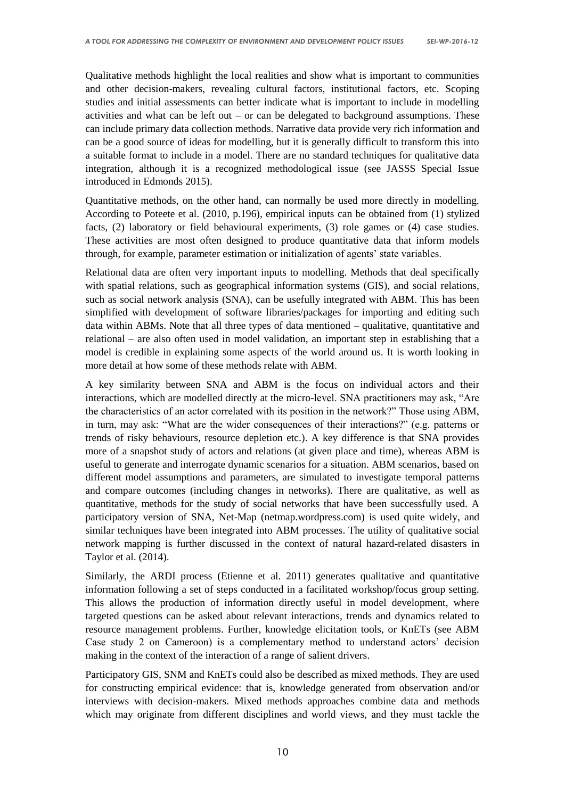Qualitative methods highlight the local realities and show what is important to communities and other decision-makers, revealing cultural factors, institutional factors, etc. Scoping studies and initial assessments can better indicate what is important to include in modelling activities and what can be left out – or can be delegated to background assumptions. These can include primary data collection methods. Narrative data provide very rich information and can be a good source of ideas for modelling, but it is generally difficult to transform this into a suitable format to include in a model. There are no standard techniques for qualitative data integration, although it is a recognized methodological issue (see JASSS Special Issue introduced in Edmonds 2015).

Quantitative methods, on the other hand, can normally be used more directly in modelling. According to Poteete et al. (2010, p.196), empirical inputs can be obtained from (1) stylized facts, (2) laboratory or field behavioural experiments, (3) role games or (4) case studies. These activities are most often designed to produce quantitative data that inform models through, for example, parameter estimation or initialization of agents' state variables.

Relational data are often very important inputs to modelling. Methods that deal specifically with spatial relations, such as geographical information systems (GIS), and social relations, such as social network analysis (SNA), can be usefully integrated with ABM. This has been simplified with development of software libraries/packages for importing and editing such data within ABMs. Note that all three types of data mentioned – qualitative, quantitative and relational – are also often used in model validation, an important step in establishing that a model is credible in explaining some aspects of the world around us. It is worth looking in more detail at how some of these methods relate with ABM.

A key similarity between SNA and ABM is the focus on individual actors and their interactions, which are modelled directly at the micro-level. SNA practitioners may ask, "Are the characteristics of an actor correlated with its position in the network?" Those using ABM, in turn, may ask: "What are the wider consequences of their interactions?" (e.g. patterns or trends of risky behaviours, resource depletion etc.). A key difference is that SNA provides more of a snapshot study of actors and relations (at given place and time), whereas ABM is useful to generate and interrogate dynamic scenarios for a situation. ABM scenarios, based on different model assumptions and parameters, are simulated to investigate temporal patterns and compare outcomes (including changes in networks). There are qualitative, as well as quantitative, methods for the study of social networks that have been successfully used. A participatory version of SNA, Net-Map (netmap.wordpress.com) is used quite widely, and similar techniques have been integrated into ABM processes. The utility of qualitative social network mapping is further discussed in the context of natural hazard-related disasters in Taylor et al. (2014).

Similarly, the ARDI process (Etienne et al. 2011) generates qualitative and quantitative information following a set of steps conducted in a facilitated workshop/focus group setting. This allows the production of information directly useful in model development, where targeted questions can be asked about relevant interactions, trends and dynamics related to resource management problems. Further, knowledge elicitation tools, or KnETs (see ABM Case study 2 on Cameroon) is a complementary method to understand actors' decision making in the context of the interaction of a range of salient drivers.

Participatory GIS, SNM and KnETs could also be described as mixed methods. They are used for constructing empirical evidence: that is, knowledge generated from observation and/or interviews with decision-makers. Mixed methods approaches combine data and methods which may originate from different disciplines and world views, and they must tackle the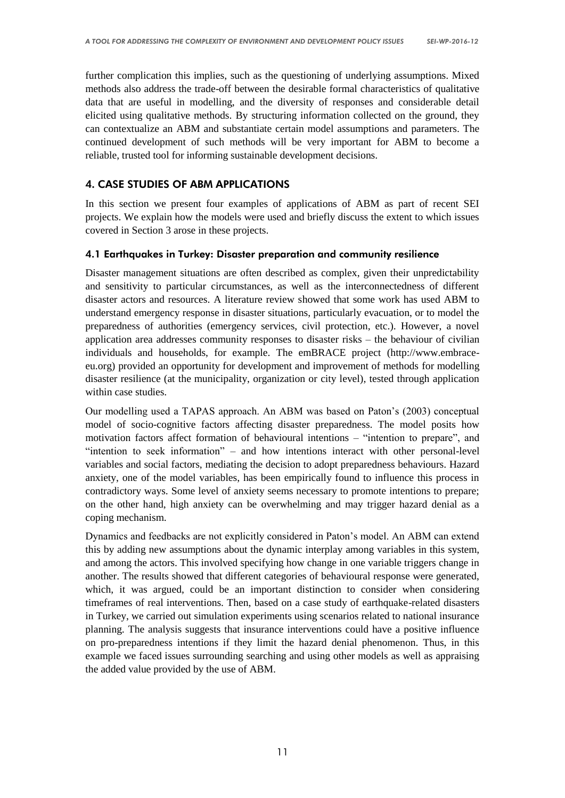further complication this implies, such as the questioning of underlying assumptions. Mixed methods also address the trade-off between the desirable formal characteristics of qualitative data that are useful in modelling, and the diversity of responses and considerable detail elicited using qualitative methods. By structuring information collected on the ground, they can contextualize an ABM and substantiate certain model assumptions and parameters. The continued development of such methods will be very important for ABM to become a reliable, trusted tool for informing sustainable development decisions.

## 4. CASE STUDIES OF ABM APPLICATIONS

In this section we present four examples of applications of ABM as part of recent SEI projects. We explain how the models were used and briefly discuss the extent to which issues covered in Section 3 arose in these projects.

#### 4.1 Earthquakes in Turkey: Disaster preparation and community resilience

Disaster management situations are often described as complex, given their unpredictability and sensitivity to particular circumstances, as well as the interconnectedness of different disaster actors and resources. A literature review showed that some work has used ABM to understand emergency response in disaster situations, particularly evacuation, or to model the preparedness of authorities (emergency services, civil protection, etc.). However, a novel application area addresses community responses to disaster risks – the behaviour of civilian individuals and households, for example. The emBRACE project (http:/[/www.embrace](http://www.embrace-eu.org/)[eu.org\)](http://www.embrace-eu.org/) provided an opportunity for development and improvement of methods for modelling disaster resilience (at the municipality, organization or city level), tested through application within case studies.

Our modelling used a TAPAS approach. An ABM was based on Paton's (2003) conceptual model of socio-cognitive factors affecting disaster preparedness. The model posits how motivation factors affect formation of behavioural intentions – "intention to prepare", and "intention to seek information" – and how intentions interact with other personal-level variables and social factors, mediating the decision to adopt preparedness behaviours. Hazard anxiety, one of the model variables, has been empirically found to influence this process in contradictory ways. Some level of anxiety seems necessary to promote intentions to prepare; on the other hand, high anxiety can be overwhelming and may trigger hazard denial as a coping mechanism.

Dynamics and feedbacks are not explicitly considered in Paton's model. An ABM can extend this by adding new assumptions about the dynamic interplay among variables in this system, and among the actors. This involved specifying how change in one variable triggers change in another. The results showed that different categories of behavioural response were generated, which, it was argued, could be an important distinction to consider when considering timeframes of real interventions. Then, based on a case study of earthquake-related disasters in Turkey, we carried out simulation experiments using scenarios related to national insurance planning. The analysis suggests that insurance interventions could have a positive influence on pro-preparedness intentions if they limit the hazard denial phenomenon. Thus, in this example we faced issues surrounding searching and using other models as well as appraising the added value provided by the use of ABM.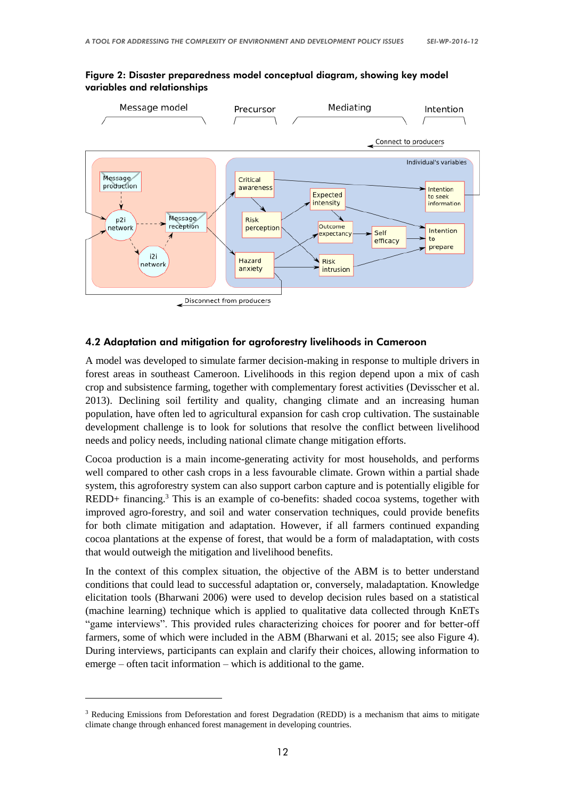

#### Figure 2: Disaster preparedness model conceptual diagram, showing key model variables and relationships

#### 4.2 Adaptation and mitigation for agroforestry livelihoods in Cameroon

A model was developed to simulate farmer decision-making in response to multiple drivers in forest areas in southeast Cameroon. Livelihoods in this region depend upon a mix of cash crop and subsistence farming, together with complementary forest activities (Devisscher et al. 2013). Declining soil fertility and quality, changing climate and an increasing human population, have often led to agricultural expansion for cash crop cultivation. The sustainable development challenge is to look for solutions that resolve the conflict between livelihood needs and policy needs, including national climate change mitigation efforts.

Cocoa production is a main income-generating activity for most households, and performs well compared to other cash crops in a less favourable climate. Grown within a partial shade system, this agroforestry system can also support carbon capture and is potentially eligible for REDD+ financing.<sup>3</sup> This is an example of co-benefits: shaded cocoa systems, together with improved agro-forestry, and soil and water conservation techniques, could provide benefits for both climate mitigation and adaptation. However, if all farmers continued expanding cocoa plantations at the expense of forest, that would be a form of maladaptation, with costs that would outweigh the mitigation and livelihood benefits.

In the context of this complex situation, the objective of the ABM is to better understand conditions that could lead to successful adaptation or, conversely, maladaptation. Knowledge elicitation tools (Bharwani 2006) were used to develop decision rules based on a statistical (machine learning) technique which is applied to qualitative data collected through KnETs "game interviews". This provided rules characterizing choices for poorer and for better-off farmers, some of which were included in the ABM (Bharwani et al. 2015; see also Figure 4). During interviews, participants can explain and clarify their choices, allowing information to emerge – often tacit information – which is additional to the game.

-

<sup>&</sup>lt;sup>3</sup> Reducing Emissions from Deforestation and forest Degradation (REDD) is a mechanism that aims to mitigate climate change through enhanced forest management in developing countries.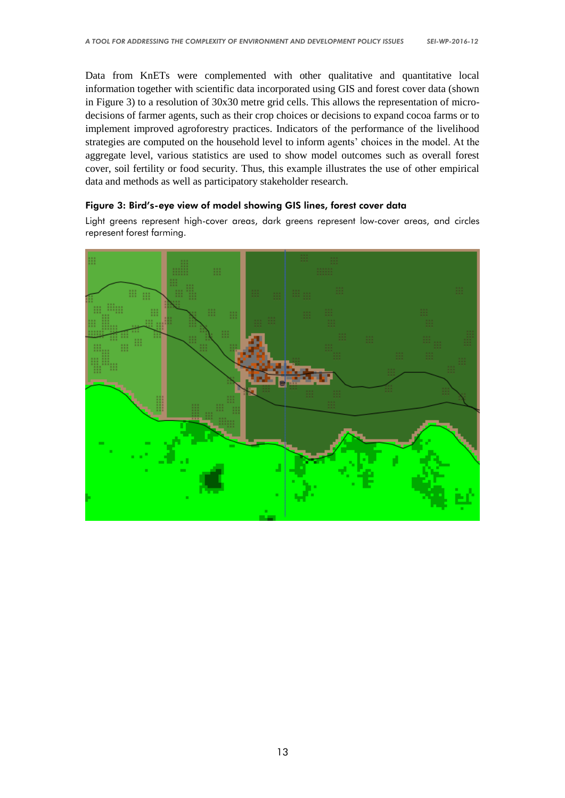Data from KnETs were complemented with other qualitative and quantitative local information together with scientific data incorporated using GIS and forest cover data (shown in Figure 3) to a resolution of 30x30 metre grid cells. This allows the representation of microdecisions of farmer agents, such as their crop choices or decisions to expand cocoa farms or to implement improved agroforestry practices. Indicators of the performance of the livelihood strategies are computed on the household level to inform agents' choices in the model. At the aggregate level, various statistics are used to show model outcomes such as overall forest cover, soil fertility or food security. Thus, this example illustrates the use of other empirical data and methods as well as participatory stakeholder research.

#### Figure 3: Bird's-eye view of model showing GIS lines, forest cover data

Light greens represent high-cover areas, dark greens represent low-cover areas, and circles represent forest farming.

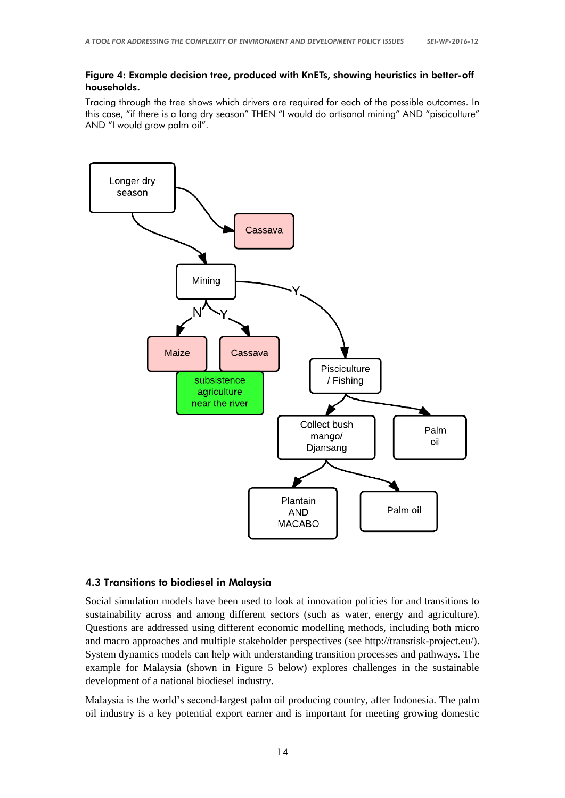#### Figure 4: Example decision tree, produced with KnETs, showing heuristics in better-off households.

Tracing through the tree shows which drivers are required for each of the possible outcomes. In this case, "if there is a long dry season" THEN "I would do artisanal mining" AND "pisciculture" AND "I would grow palm oil".



#### 4.3 Transitions to biodiesel in Malaysia

Social simulation models have been used to look at innovation policies for and transitions to sustainability across and among different sectors (such as water, energy and agriculture). Questions are addressed using different economic modelling methods, including both micro and macro approaches and multiple stakeholder perspectives (see http://transrisk-project.eu/). System dynamics models can help with understanding transition processes and pathways. The example for Malaysia (shown in Figure 5 below) explores challenges in the sustainable development of a national biodiesel industry.

Malaysia is the world's second-largest palm oil producing country, after Indonesia. The palm oil industry is a key potential export earner and is important for meeting growing domestic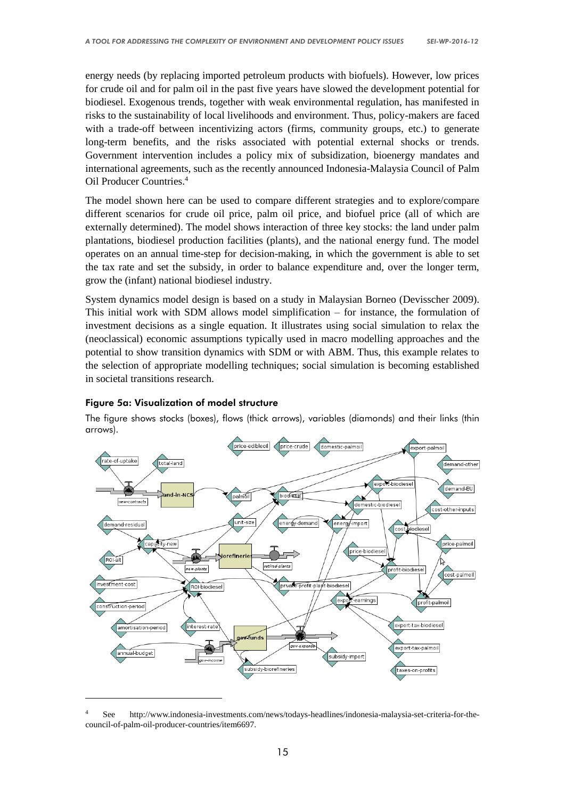energy needs (by replacing imported petroleum products with biofuels). However, low prices for crude oil and for palm oil in the past five years have slowed the development potential for biodiesel. Exogenous trends, together with weak environmental regulation, has manifested in risks to the sustainability of local livelihoods and environment. Thus, policy-makers are faced with a trade-off between incentivizing actors (firms, community groups, etc.) to generate long-term benefits, and the risks associated with potential external shocks or trends. Government intervention includes a policy mix of subsidization, bioenergy mandates and international agreements, such as the recently announced Indonesia-Malaysia Council of Palm Oil Producer Countries. 4

The model shown here can be used to compare different strategies and to explore/compare different scenarios for crude oil price, palm oil price, and biofuel price (all of which are externally determined). The model shows interaction of three key stocks: the land under palm plantations, biodiesel production facilities (plants), and the national energy fund. The model operates on an annual time-step for decision-making, in which the government is able to set the tax rate and set the subsidy, in order to balance expenditure and, over the longer term, grow the (infant) national biodiesel industry.

System dynamics model design is based on a study in Malaysian Borneo (Devisscher 2009). This initial work with SDM allows model simplification – for instance, the formulation of investment decisions as a single equation. It illustrates using social simulation to relax the (neoclassical) economic assumptions typically used in macro modelling approaches and the potential to show transition dynamics with SDM or with ABM. Thus, this example relates to the selection of appropriate modelling techniques; social simulation is becoming established in societal transitions research.

#### Figure 5a: Visualization of model structure

-

The figure shows stocks (boxes), flows (thick arrows), variables (diamonds) and their links (thin arrows).



<sup>4</sup> See http://www.indonesia-investments.com/news/todays-headlines/indonesia-malaysia-set-criteria-for-thecouncil-of-palm-oil-producer-countries/item6697.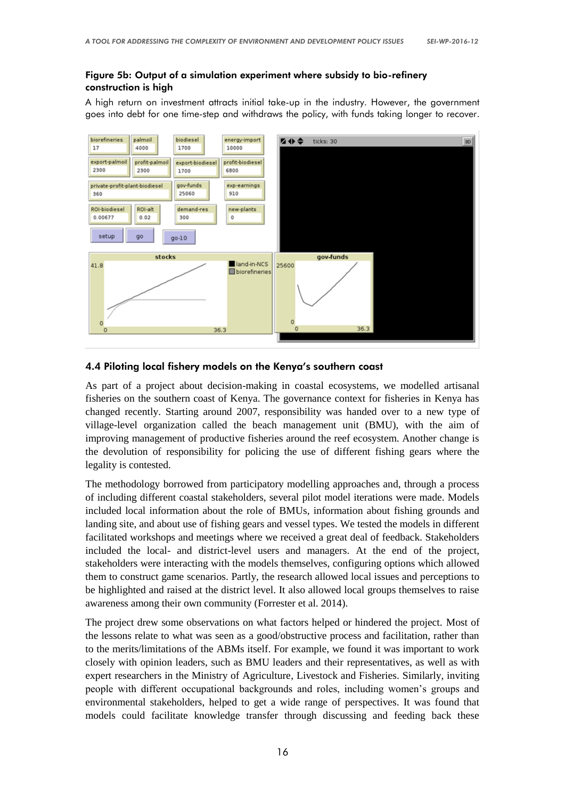#### Figure 5b: Output of a simulation experiment where subsidy to bio-refinery construction is high

A high return on investment attracts initial take-up in the industry. However, the government goes into debt for one time-step and withdraws the policy, with funds taking longer to recover.



#### 4.4 Piloting local fishery models on the Kenya's southern coast

As part of a project about decision-making in coastal ecosystems, we modelled artisanal fisheries on the southern coast of Kenya. The governance context for fisheries in Kenya has changed recently. Starting around 2007, responsibility was handed over to a new type of village-level organization called the beach management unit (BMU), with the aim of improving management of productive fisheries around the reef ecosystem. Another change is the devolution of responsibility for policing the use of different fishing gears where the legality is contested.

The methodology borrowed from participatory modelling approaches and, through a process of including different coastal stakeholders, several pilot model iterations were made. Models included local information about the role of BMUs, information about fishing grounds and landing site, and about use of fishing gears and vessel types. We tested the models in different facilitated workshops and meetings where we received a great deal of feedback. Stakeholders included the local- and district-level users and managers. At the end of the project, stakeholders were interacting with the models themselves, configuring options which allowed them to construct game scenarios. Partly, the research allowed local issues and perceptions to be highlighted and raised at the district level. It also allowed local groups themselves to raise awareness among their own community (Forrester et al. 2014).

The project drew some observations on what factors helped or hindered the project. Most of the lessons relate to what was seen as a good/obstructive process and facilitation, rather than to the merits/limitations of the ABMs itself. For example, we found it was important to work closely with opinion leaders, such as BMU leaders and their representatives, as well as with expert researchers in the Ministry of Agriculture, Livestock and Fisheries. Similarly, inviting people with different occupational backgrounds and roles, including women's groups and environmental stakeholders, helped to get a wide range of perspectives. It was found that models could facilitate knowledge transfer through discussing and feeding back these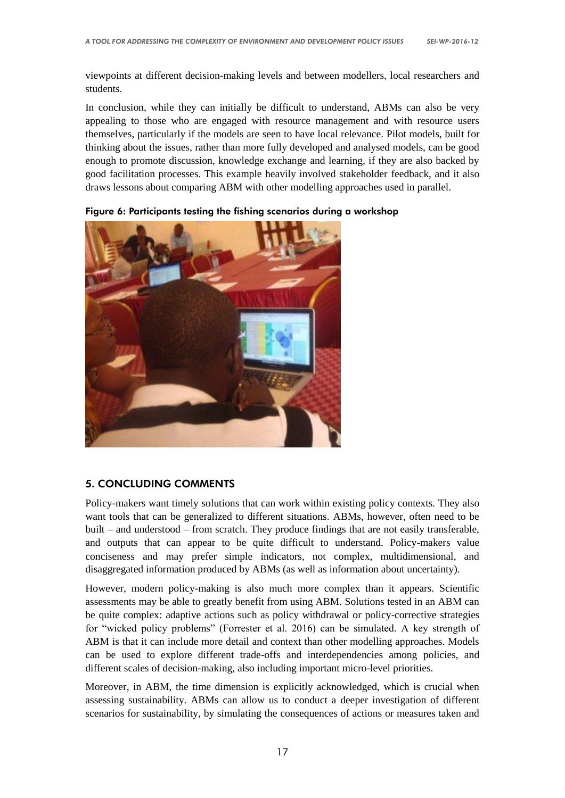viewpoints at different decision-making levels and between modellers, local researchers and students.

In conclusion, while they can initially be difficult to understand, ABMs can also be very appealing to those who are engaged with resource management and with resource users themselves, particularly if the models are seen to have local relevance. Pilot models, built for thinking about the issues, rather than more fully developed and analysed models, can be good enough to promote discussion, knowledge exchange and learning, if they are also backed by good facilitation processes. This example heavily involved stakeholder feedback, and it also draws lessons about comparing ABM with other modelling approaches used in parallel.



Figure 6: Participants testing the fishing scenarios during a workshop

## 5. CONCLUDING COMMENTS

Policy-makers want timely solutions that can work within existing policy contexts. They also want tools that can be generalized to different situations. ABMs, however, often need to be built – and understood – from scratch. They produce findings that are not easily transferable, and outputs that can appear to be quite difficult to understand. Policy-makers value conciseness and may prefer simple indicators, not complex, multidimensional, and disaggregated information produced by ABMs (as well as information about uncertainty).

However, modern policy-making is also much more complex than it appears. Scientific assessments may be able to greatly benefit from using ABM. Solutions tested in an ABM can be quite complex: adaptive actions such as policy withdrawal or policy-corrective strategies for "wicked policy problems" (Forrester et al. 2016) can be simulated. A key strength of ABM is that it can include more detail and context than other modelling approaches. Models can be used to explore different trade-offs and interdependencies among policies, and different scales of decision-making, also including important micro-level priorities.

Moreover, in ABM, the time dimension is explicitly acknowledged, which is crucial when assessing sustainability. ABMs can allow us to conduct a deeper investigation of different scenarios for sustainability, by simulating the consequences of actions or measures taken and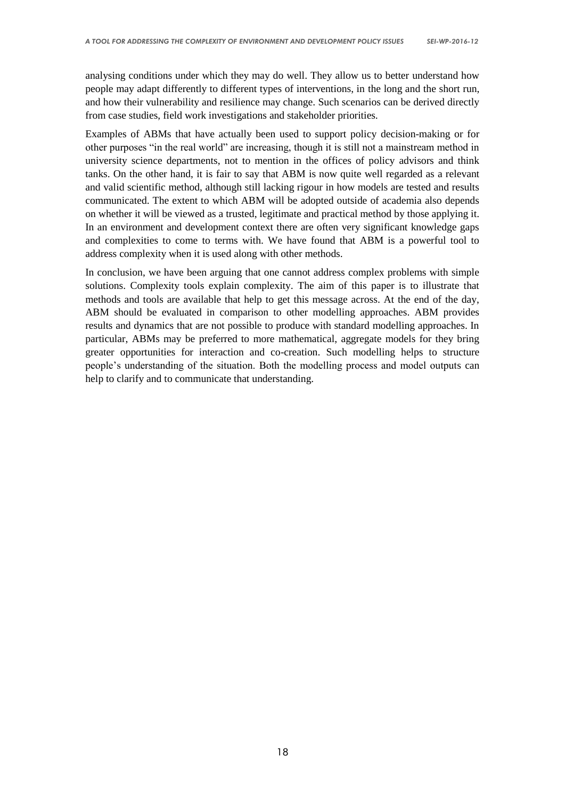analysing conditions under which they may do well. They allow us to better understand how people may adapt differently to different types of interventions, in the long and the short run, and how their vulnerability and resilience may change. Such scenarios can be derived directly from case studies, field work investigations and stakeholder priorities.

Examples of ABMs that have actually been used to support policy decision-making or for other purposes "in the real world" are increasing, though it is still not a mainstream method in university science departments, not to mention in the offices of policy advisors and think tanks. On the other hand, it is fair to say that ABM is now quite well regarded as a relevant and valid scientific method, although still lacking rigour in how models are tested and results communicated. The extent to which ABM will be adopted outside of academia also depends on whether it will be viewed as a trusted, legitimate and practical method by those applying it. In an environment and development context there are often very significant knowledge gaps and complexities to come to terms with. We have found that ABM is a powerful tool to address complexity when it is used along with other methods.

In conclusion, we have been arguing that one cannot address complex problems with simple solutions. Complexity tools explain complexity. The aim of this paper is to illustrate that methods and tools are available that help to get this message across. At the end of the day, ABM should be evaluated in comparison to other modelling approaches. ABM provides results and dynamics that are not possible to produce with standard modelling approaches. In particular, ABMs may be preferred to more mathematical, aggregate models for they bring greater opportunities for interaction and co-creation. Such modelling helps to structure people's understanding of the situation. Both the modelling process and model outputs can help to clarify and to communicate that understanding.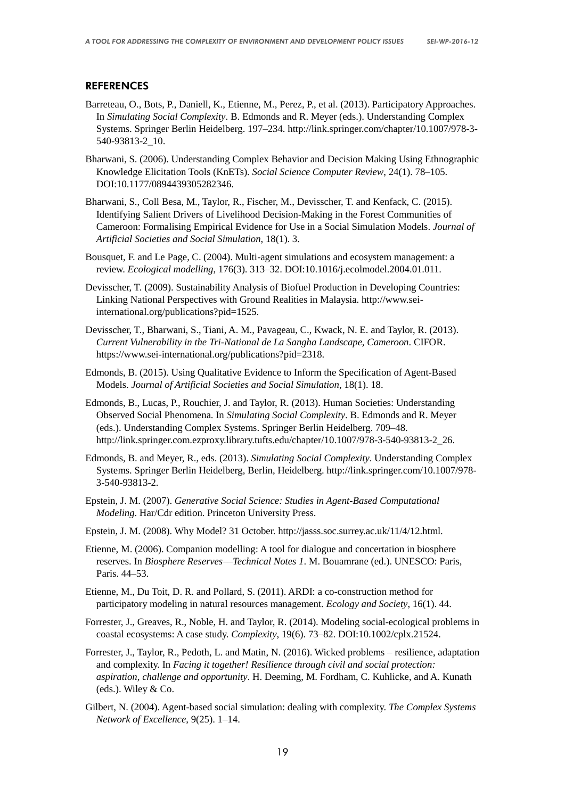#### **REFERENCES**

- Barreteau, O., Bots, P., Daniell, K., Etienne, M., Perez, P., et al. (2013). Participatory Approaches. In *Simulating Social Complexity*. B. Edmonds and R. Meyer (eds.). Understanding Complex Systems. Springer Berlin Heidelberg. 197–234. http://link.springer.com/chapter/10.1007/978-3- 540-93813-2\_10.
- Bharwani, S. (2006). Understanding Complex Behavior and Decision Making Using Ethnographic Knowledge Elicitation Tools (KnETs). *Social Science Computer Review*, 24(1). 78–105. DOI:10.1177/0894439305282346.
- Bharwani, S., Coll Besa, M., Taylor, R., Fischer, M., Devisscher, T. and Kenfack, C. (2015). Identifying Salient Drivers of Livelihood Decision-Making in the Forest Communities of Cameroon: Formalising Empirical Evidence for Use in a Social Simulation Models. *Journal of Artificial Societies and Social Simulation*, 18(1). 3.
- Bousquet, F. and Le Page, C. (2004). Multi-agent simulations and ecosystem management: a review. *Ecological modelling*, 176(3). 313–32. DOI:10.1016/j.ecolmodel.2004.01.011.
- Devisscher, T. (2009). Sustainability Analysis of Biofuel Production in Developing Countries: Linking National Perspectives with Ground Realities in Malaysia. http://www.seiinternational.org/publications?pid=1525.
- Devisscher, T., Bharwani, S., Tiani, A. M., Pavageau, C., Kwack, N. E. and Taylor, R. (2013). *Current Vulnerability in the Tri-National de La Sangha Landscape, Cameroon*. CIFOR. https://www.sei-international.org/publications?pid=2318.
- Edmonds, B. (2015). Using Qualitative Evidence to Inform the Specification of Agent-Based Models. *Journal of Artificial Societies and Social Simulation*, 18(1). 18.
- Edmonds, B., Lucas, P., Rouchier, J. and Taylor, R. (2013). Human Societies: Understanding Observed Social Phenomena. In *Simulating Social Complexity*. B. Edmonds and R. Meyer (eds.). Understanding Complex Systems. Springer Berlin Heidelberg. 709–48. http://link.springer.com.ezproxy.library.tufts.edu/chapter/10.1007/978-3-540-93813-2\_26.
- Edmonds, B. and Meyer, R., eds. (2013). *Simulating Social Complexity*. Understanding Complex Systems. Springer Berlin Heidelberg, Berlin, Heidelberg. http://link.springer.com/10.1007/978- 3-540-93813-2.
- Epstein, J. M. (2007). *Generative Social Science: Studies in Agent-Based Computational Modeling*. Har/Cdr edition. Princeton University Press.
- Epstein, J. M. (2008). Why Model? 31 October. http://jasss.soc.surrey.ac.uk/11/4/12.html.
- Etienne, M. (2006). Companion modelling: A tool for dialogue and concertation in biosphere reserves. In *Biosphere Reserves––Technical Notes 1*. M. Bouamrane (ed.). UNESCO: Paris, Paris. 44–53.
- Etienne, M., Du Toit, D. R. and Pollard, S. (2011). ARDI: a co-construction method for participatory modeling in natural resources management. *Ecology and Society*, 16(1). 44.
- Forrester, J., Greaves, R., Noble, H. and Taylor, R. (2014). Modeling social-ecological problems in coastal ecosystems: A case study. *Complexity*, 19(6). 73–82. DOI:10.1002/cplx.21524.
- Forrester, J., Taylor, R., Pedoth, L. and Matin, N. (2016). Wicked problems resilience, adaptation and complexity. In *Facing it together! Resilience through civil and social protection: aspiration, challenge and opportunity*. H. Deeming, M. Fordham, C. Kuhlicke, and A. Kunath (eds.). Wiley & Co.
- Gilbert, N. (2004). Agent-based social simulation: dealing with complexity. *The Complex Systems Network of Excellence*, 9(25). 1–14.